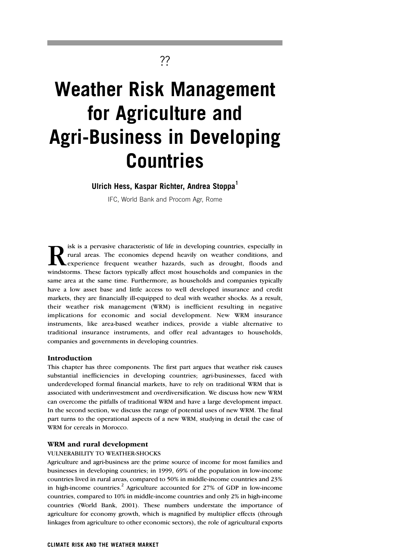# **Weather Risk Management for Agriculture and Agri-Business in Developing Countries**

??

## **Ulrich Hess, Kaspar Richter, Andrea Stoppa1**

IFC, World Bank and Procom Agr, Rome

R isk is a pervasive characteristic of life in developing countries, especially in rural areas. The economies depend heavily on weather conditions, and experience frequent weather hazards, such as drought, floods and winds rural areas. The economies depend heavily on weather conditions, and experience frequent weather hazards, such as drought, floods and windstorms. These factors typically affect most households and companies in the same area at the same time. Furthermore, as households and companies typically have a low asset base and little access to well developed insurance and credit markets, they are financially ill-equipped to deal with weather shocks. As a result, their weather risk management (WRM) is inefficient resulting in negative implications for economic and social development. New WRM insurance instruments, like area-based weather indices, provide a viable alternative to traditional insurance instruments, and offer real advantages to households, companies and governments in developing countries.

#### **Introduction**

This chapter has three components. The first part argues that weather risk causes substantial inefficiencies in developing countries; agri-businesses, faced with underdeveloped formal financial markets, have to rely on traditional WRM that is associated with underinvestment and overdiversification. We discuss how new WRM can overcome the pitfalls of traditional WRM and have a large development impact. In the second section, we discuss the range of potential uses of new WRM. The final part turns to the operational aspects of a new WRM, studying in detail the case of WRM for cereals in Morocco.

#### **WRM and rural development**

#### VULNERABILITY TO WEATHER-SHOCKS

Agriculture and agri-business are the prime source of income for most families and businesses in developing countries; in 1999, 69% of the population in low-income countries lived in rural areas, compared to 50% in middle-income countries and 23% in high-income countries.<sup>2</sup> Agriculture accounted for  $27\%$  of GDP in low-income countries, compared to 10% in middle-income countries and only 2% in high-income countries (World Bank, 2001). These numbers understate the importance of agriculture for economy growth, which is magnified by multiplier effects (through linkages from agriculture to other economic sectors), the role of agricultural exports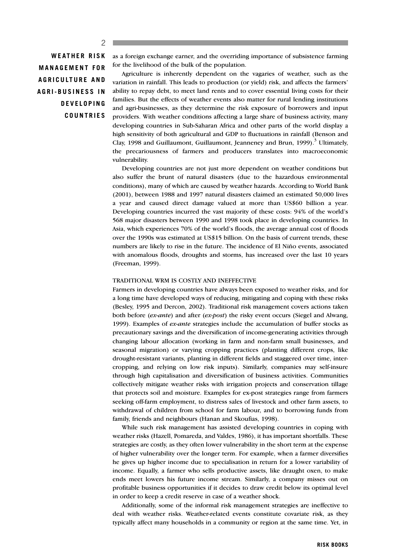#### $\mathfrak{D}$

**WEATHER RISK MANAGEMENT FOR AGRICULTURE AND AGRI-BUSINESS IN DEVELOPING COUNTRIES** as a foreign exchange earner, and the overriding importance of subsistence farming for the livelihood of the bulk of the population.

Agriculture is inherently dependent on the vagaries of weather, such as the variation in rainfall. This leads to production (or yield) risk, and affects the farmers' ability to repay debt, to meet land rents and to cover essential living costs for their families. But the effects of weather events also matter for rural lending institutions and agri-businesses, as they determine the risk exposure of borrowers and input providers. With weather conditions affecting a large share of business activity, many developing countries in Sub-Saharan Africa and other parts of the world display a high sensitivity of both agricultural and GDP to fluctuations in rainfall (Benson and Clay, 1998 and Guillaumont, Guillaumont, Jeanneney and Brun,  $1999)$ .<sup>3</sup> Ultimately, the precariousness of farmers and producers translates into macroeconomic vulnerability.

Developing countries are not just more dependent on weather conditions but also suffer the brunt of natural disasters (due to the hazardous environmental conditions), many of which are caused by weather hazards. According to World Bank (2001), between 1988 and 1997 natural disasters claimed an estimated 50,000 lives a year and caused direct damage valued at more than US\$60 billion a year. Developing countries incurred the vast majority of these costs: 94% of the world's 568 major disasters between 1990 and 1998 took place in developing countries. In Asia, which experiences 70% of the world's floods, the average annual cost of floods over the 1990s was estimated at US\$15 billion. On the basis of current trends, these numbers are likely to rise in the future. The incidence of El Niño events, associated with anomalous floods, droughts and storms, has increased over the last 10 years (Freeman, 1999).

#### TRADITIONAL WRM IS COSTLY AND INEFFECTIVE

Farmers in developing countries have always been exposed to weather risks, and for a long time have developed ways of reducing, mitigating and coping with these risks (Besley, 1995 and Dercon, 2002). Traditional risk management covers actions taken both before (*ex-ante*) and after (*ex-post*) the risky event occurs (Siegel and Alwang, 1999). Examples of *ex-ante* strategies include the accumulation of buffer stocks as precautionary savings and the diversification of income-generating activities through changing labour allocation (working in farm and non-farm small businesses, and seasonal migration) or varying cropping practices (planting different crops, like drought-resistant variants, planting in different fields and staggered over time, intercropping, and relying on low risk inputs). Similarly, companies may self-insure through high capitalisation and diversification of business activities. Communities collectively mitigate weather risks with irrigation projects and conservation tillage that protects soil and moisture. Examples for ex-post strategies range from farmers seeking off-farm employment, to distress sales of livestock and other farm assets, to withdrawal of children from school for farm labour, and to borrowing funds from family, friends and neighbours (Hanan and Skoufias, 1998).

While such risk management has assisted developing countries in coping with weather risks (Hazell, Pomareda, and Valdes, 1986), it has important shortfalls. These strategies are costly, as they often lower vulnerability in the short term at the expense of higher vulnerability over the longer term. For example, when a farmer diversifies he gives up higher income due to specialisation in return for a lower variability of income. Equally, a farmer who sells productive assets, like draught oxen, to make ends meet lowers his future income stream. Similarly, a company misses out on profitable business opportunities if it decides to draw credit below its optimal level in order to keep a credit reserve in case of a weather shock.

Additionally, some of the informal risk management strategies are ineffective to deal with weather risks. Weather-related events constitute covariate risk, as they typically affect many households in a community or region at the same time. Yet, in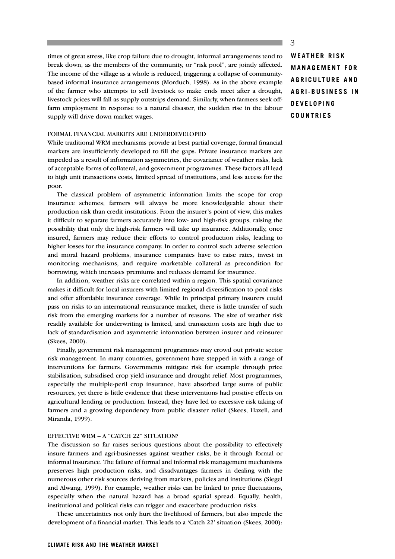times of great stress, like crop failure due to drought, informal arrangements tend to break down, as the members of the community, or "risk pool", are jointly affected. The income of the village as a whole is reduced, triggering a collapse of communitybased informal insurance arrangements (Morduch, 1998). As in the above example of the farmer who attempts to sell livestock to make ends meet after a drought, livestock prices will fall as supply outstrips demand. Similarly, when farmers seek offfarm employment in response to a natural disaster, the sudden rise in the labour supply will drive down market wages.

#### FORMAL FINANCIAL MARKETS ARE UNDERDEVELOPED

While traditional WRM mechanisms provide at best partial coverage, formal financial markets are insufficiently developed to fill the gaps. Private insurance markets are impeded as a result of information asymmetries, the covariance of weather risks, lack of acceptable forms of collateral, and government programmes. These factors all lead to high unit transactions costs, limited spread of institutions, and less access for the poor.

The classical problem of asymmetric information limits the scope for crop insurance schemes; farmers will always be more knowledgeable about their production risk than credit institutions. From the insurer's point of view, this makes it difficult to separate farmers accurately into low- and high-risk groups, raising the possibility that only the high-risk farmers will take up insurance. Additionally, once insured, farmers may reduce their efforts to control production risks, leading to higher losses for the insurance company. In order to control such adverse selection and moral hazard problems, insurance companies have to raise rates, invest in monitoring mechanisms, and require marketable collateral as precondition for borrowing, which increases premiums and reduces demand for insurance.

In addition, weather risks are correlated within a region. This spatial covariance makes it difficult for local insurers with limited regional diversification to pool risks and offer affordable insurance coverage. While in principal primary insurers could pass on risks to an international reinsurance market, there is little transfer of such risk from the emerging markets for a number of reasons. The size of weather risk readily available for underwriting is limited, and transaction costs are high due to lack of standardisation and asymmetric information between insurer and reinsurer (Skees, 2000).

Finally, government risk management programmes may crowd out private sector risk management. In many countries, government have stepped in with a range of interventions for farmers. Governments mitigate risk for example through price stabilisation, subsidised crop yield insurance and drought relief. Most programmes, especially the multiple-peril crop insurance, have absorbed large sums of public resources, yet there is little evidence that these interventions had positive effects on agricultural lending or production. Instead, they have led to excessive risk taking of farmers and a growing dependency from public disaster relief (Skees, Hazell, and Miranda, 1999).

#### EFFECTIVE WRM – A "CATCH 22" SITUATION?

The discussion so far raises serious questions about the possibility to effectively insure farmers and agri-businesses against weather risks, be it through formal or informal insurance. The failure of formal and informal risk management mechanisms preserves high production risks, and disadvantages farmers in dealing with the numerous other risk sources deriving from markets, policies and institutions (Siegel and Alwang, 1999). For example, weather risks can be linked to price fluctuations, especially when the natural hazard has a broad spatial spread. Equally, health, institutional and political risks can trigger and exacerbate production risks.

These uncertainties not only hurt the livelihood of farmers, but also impede the development of a financial market. This leads to a 'Catch 22' situation (Skees, 2000):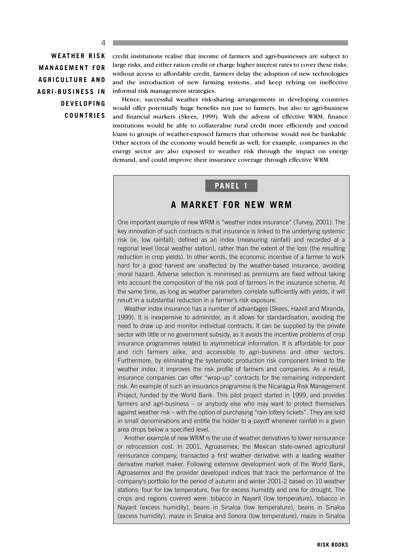$\Lambda$ 

**WEATHER RISK MANAGEMENT FOR AGRICULTURE AND AGRI-BUSINESS IN DEVELOPING COUNTRIES**

credit institutions realise that income of farmers and agri-businesses are subject to large risks, and either ration credit or charge higher interest rates to cover these risks; without access to affordable credit, farmers delay the adoption of new technologies and the introduction of new farming systems, and keep relying on ineffective informal risk management strategies.

Hence, successful weather risk-sharing arrangements in developing countries would offer potentially huge benefits not just to farmers, but also to agri-business and financial markets (Skees, 1999). With the advent of effective WRM, finance institutions would be able to collateralise rural credit more efficiently and extend loans to groups of weather-exposed farmers that otherwise would not be bankable. Other sectors of the economy would benefit as well; for example, companies in the energy sector are also exposed to weather risk through the impact on energy demand, and could improve their insurance coverage through effective WRM.

### **PANEL 1**

## **A MARKET FOR NEW WRM**

One important example of new WRM is "weather index insurance" (Turvey, 2001). The key innovation of such contracts is that insurance is linked to the underlying systemic risk (ie, low rainfall), defined as an index (measuring rainfall) and recorded at a regional level (local weather station), rather than the extent of the loss (the resulting reduction in crop yields). In other words, the economic incentive of a farmer to work hard for a good harvest are unaffected by the weather-based insurance, avoiding moral hazard. Adverse selection is minimised as premiums are fixed without taking into account the composition of the risk pool of farmers in the insurance scheme. At the same time, as long as weather parameters correlate sufficiently with yields, it will result in a substantial reduction in a farmer's risk exposure.

Weather index insurance has a number of advantages (Skees, Hazell and Miranda, 1999). It is inexpensive to administer, as it allows for standardisation, avoiding the need to draw up and monitor individual contracts. It can be supplied by the private sector with little or no government subsidy, as it avoids the incentive problems of crop insurance programmes related to asymmetrical information. It is affordable for poor and rich farmers alike, and accessible to agri-business and other sectors. Furthermore, by eliminating the systematic production risk component linked to the weather index, it improves the risk profile of farmers and companies. As a result, insurance companies can offer "wrap-up" contracts for the remaining independent risk. An example of such an insurance programme is the Nicaragua Risk Management Project, funded by the World Bank. This pilot project started in 1999, and provides farmers and agri-business – or anybody else who may want to protect themselves against weather risk – with the option of purchasing "rain lottery tickets". They are sold in small denominations and entitle the holder to a payoff whenever rainfall in a given area drops below a specified level.

Another example of new WRM is the use of weather derivatives to lower reinsurance or retrocession cost. In 2001, Agroasemex, the Mexican state-owned agricultural reinsurance company, transacted a first weather derivative with a leading weather derivative market maker. Following extensive development work of the World Bank, Agroasemex and the provider developed indices that track the performance of the company's portfolio for the period of autumn and winter 2001-2 based on 10 weather stations: four for low temperature, five for excess humidity and one for drought. The crops and regions covered were: tobacco in Nayarit (low temperature), tobacco in Nayarit (excess humidity), beans in Sinaloa (low temperature), beans in Sinaloa (excess humidity), maize in Sinaloa and Sonora (low temperature), maize in Sinaloa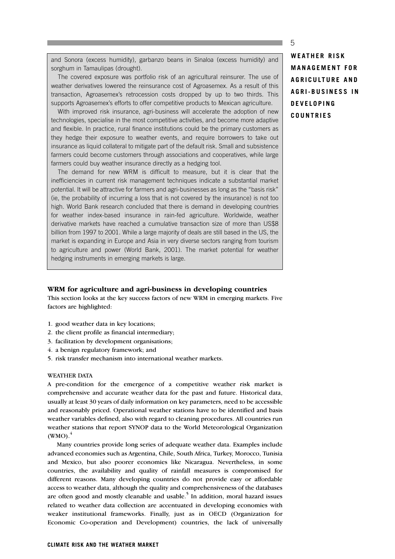and Sonora (excess humidity), garbanzo beans in Sinaloa (excess humidity) and sorghum in Tamaulipas (drought).

The covered exposure was portfolio risk of an agricultural reinsurer. The use of weather derivatives lowered the reinsurance cost of Agroasemex. As a result of this transaction, Agroasemex's retrocession costs dropped by up to two thirds. This supports Agroasemex's efforts to offer competitive products to Mexican agriculture.

With improved risk insurance, agri-business will accelerate the adoption of new technologies, specialise in the most competitive activities, and become more adaptive and flexible. In practice, rural finance institutions could be the primary customers as they hedge their exposure to weather events, and require borrowers to take out insurance as liquid collateral to mitigate part of the default risk. Small and subsistence farmers could become customers through associations and cooperatives, while large farmers could buy weather insurance directly as a hedging tool.

The demand for new WRM is difficult to measure, but it is clear that the inefficiencies in current risk management techniques indicate a substantial market potential. It will be attractive for farmers and agri-businesses as long as the "basis risk" (ie, the probability of incurring a loss that is not covered by the insurance) is not too high. World Bank research concluded that there is demand in developing countries for weather index-based insurance in rain-fed agriculture. Worldwide, weather derivative markets have reached a cumulative transaction size of more than US\$8 billion from 1997 to 2001. While a large majority of deals are still based in the US, the market is expanding in Europe and Asia in very diverse sectors ranging from tourism to agriculture and power (World Bank, 2001). The market potential for weather hedging instruments in emerging markets is large.

#### **WRM for agriculture and agri-business in developing countries**

This section looks at the key success factors of new WRM in emerging markets. Five factors are highlighted:

- 1. good weather data in key locations;
- 2. the client profile as financial intermediary;
- 3. facilitation by development organisations;
- 4. a benign regulatory framework; and
- 5. risk transfer mechanism into international weather markets.

#### WEATHER DATA

A pre-condition for the emergence of a competitive weather risk market is comprehensive and accurate weather data for the past and future. Historical data, usually at least 30 years of daily information on key parameters, need to be accessible and reasonably priced. Operational weather stations have to be identified and basis weather variables defined, also with regard to cleaning procedures. All countries run weather stations that report SYNOP data to the World Meteorological Organization  $(WMO)<sup>4</sup>$ 

Many countries provide long series of adequate weather data. Examples include advanced economies such as Argentina, Chile, South Africa, Turkey, Morocco, Tunisia and Mexico, but also poorer economies like Nicaragua. Nevertheless, in some countries, the availability and quality of rainfall measures is compromised for different reasons. Many developing countries do not provide easy or affordable access to weather data, although the quality and comprehensiveness of the databases are often good and mostly cleanable and usable.<sup>5</sup> In addition, moral hazard issues related to weather data collection are accentuated in developing economies with weaker institutional frameworks. Finally, just as in OECD (Organization for Economic Co-operation and Development) countries, the lack of universally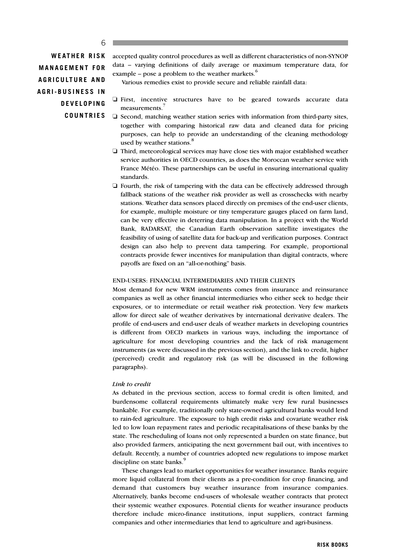#### 6

**WEATHER RISK MANAGEMENT FOR AGRICULTURE AND AGRI-BUSINESS IN DEVELOPING COUNTRIES** accepted quality control procedures as well as different characteristics of non-SYNOP data – varying definitions of daily average or maximum temperature data, for example – pose a problem to the weather markets. $6$ 

Various remedies exist to provide secure and reliable rainfall data:

- ❏ First, incentive structures have to be geared towards accurate data measurements.<sup>7</sup>
- ❏ Second, matching weather station series with information from third-party sites, together with comparing historical raw data and cleaned data for pricing purposes, can help to provide an understanding of the cleaning methodology used by weather stations.<sup>8</sup>
- ❏ Third, meteorological services may have close ties with major established weather service authorities in OECD countries, as does the Moroccan weather service with France Météo. These partnerships can be useful in ensuring international quality standards.
- ❏ Fourth, the risk of tampering with the data can be effectively addressed through fallback stations of the weather risk provider as well as crosschecks with nearby stations. Weather data sensors placed directly on premises of the end-user clients, for example, multiple moisture or tiny temperature gauges placed on farm land, can be very effective in deterring data manipulation. In a project with the World Bank, RADARSAT, the Canadian Earth observation satellite investigates the feasibility of using of satellite data for back-up and verification purposes. Contract design can also help to prevent data tampering. For example, proportional contracts provide fewer incentives for manipulation than digital contracts, where payoffs are fixed on an "all-or-nothing" basis.

#### END-USERS: FINANCIAL INTERMEDIARIES AND THEIR CLIENTS

Most demand for new WRM instruments comes from insurance and reinsurance companies as well as other financial intermediaries who either seek to hedge their exposures, or to intermediate or retail weather risk protection. Very few markets allow for direct sale of weather derivatives by international derivative dealers. The profile of end-users and end-user deals of weather markets in developing countries is different from OECD markets in various ways, including the importance of agriculture for most developing countries and the lack of risk management instruments (as were discussed in the previous section), and the link to credit, higher (perceived) credit and regulatory risk (as will be discussed in the following paragraphs).

#### *Link to credit*

As debated in the previous section, access to formal credit is often limited, and burdensome collateral requirements ultimately make very few rural businesses bankable. For example, traditionally only state-owned agricultural banks would lend to rain-fed agriculture. The exposure to high credit risks and covariate weather risk led to low loan repayment rates and periodic recapitalisations of these banks by the state. The rescheduling of loans not only represented a burden on state finance, but also provided farmers, anticipating the next government bail out, with incentives to default. Recently, a number of countries adopted new regulations to impose market discipline on state banks.<sup>9</sup>

These changes lead to market opportunities for weather insurance. Banks require more liquid collateral from their clients as a pre-condition for crop financing, and demand that customers buy weather insurance from insurance companies. Alternatively, banks become end-users of wholesale weather contracts that protect their systemic weather exposures. Potential clients for weather insurance products therefore include micro-finance institutions, input suppliers, contract farming companies and other intermediaries that lend to agriculture and agri-business.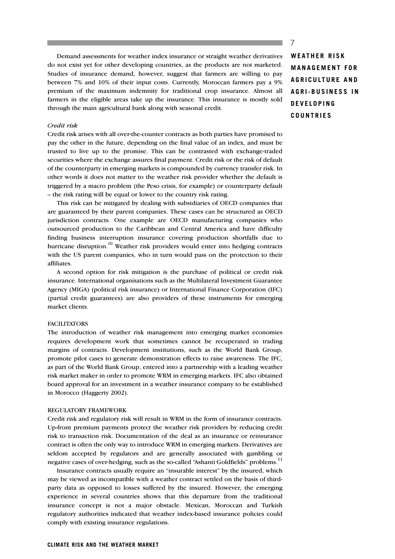Demand assessments for weather index insurance or straight weather derivatives do not exist yet for other developing countries, as the products are not marketed. Studies of insurance demand, however, suggest that farmers are willing to pay between 7% and 10% of their input costs. Currently, Moroccan farmers pay a 9% premium of the maximum indemnity for traditional crop insurance. Almost all farmers in the eligible areas take up the insurance. This insurance is mostly sold through the main agricultural bank along with seasonal credit.

#### *Credit risk*

Credit risk arises with all over-the-counter contracts as both parties have promised to pay the other in the future, depending on the final value of an index, and must be trusted to live up to the promise. This can be contrasted with exchange-traded securities where the exchange assures final payment. Credit risk or the risk of default of the counterparty in emerging markets is compounded by currency transfer risk. In other words it does not matter to the weather risk provider whether the default is triggered by a macro problem (the Peso crisis, for example) or counterparty default – the risk rating will be equal or lower to the country risk rating.

This risk can be mitigated by dealing with subsidiaries of OECD companies that are guaranteed by their parent companies. These cases can be structured as OECD jurisdiction contracts. One example are OECD manufacturing companies who outsourced production to the Caribbean and Central America and have difficulty finding business interruption insurance covering production shortfalls due to hurricane disruption.<sup>10</sup> Weather risk providers would enter into hedging contracts with the US parent companies, who in turn would pass on the protection to their affiliates.

A second option for risk mitigation is the purchase of political or credit risk insurance. International organisations such as the Multilateral Investment Guarantee Agency (MIGA) (political risk insurance) or International Finance Corporation (IFC) (partial credit guarantees) are also providers of these instruments for emerging market clients.

#### **FACILITATORS**

The introduction of weather risk management into emerging market economies requires development work that sometimes cannot be recuperated in trading margins of contracts. Development institutions, such as the World Bank Group, promote pilot cases to generate demonstration effects to raise awareness. The IFC, as part of the World Bank Group, entered into a partnership with a leading weather risk market maker in order to promote WRM in emerging markets. IFC also obtained board approval for an investment in a weather insurance company to be established in Morocco (Haggerty 2002).

#### REGULATORY FRAMEWORK

Credit risk and regulatory risk will result in WRM in the form of insurance contracts. Up-front premium payments protect the weather risk providers by reducing credit risk to transaction risk. Documentation of the deal as an insurance or reinsurance contract is often the only way to introduce WRM in emerging markets. Derivatives are seldom accepted by regulators and are generally associated with gambling or negative cases of over-hedging, such as the so-called "Ashanti Goldfields" problems.<sup>11</sup>

Insurance contracts usually require an "insurable interest" by the insured, which may be viewed as incompatible with a weather contract settled on the basis of thirdparty data as opposed to losses suffered by the insured. However, the emerging experience in several countries shows that this departure from the traditional insurance concept is not a major obstacle. Mexican, Moroccan and Turkish regulatory authorities indicated that weather index-based insurance policies could comply with existing insurance regulations.

# **WEATHER RISK MANAGEMENT FOR AGRICULTURE AND AGRI-BUSINESS IN DEVELOPING COUNTRIES**

7

#### **CLIMATE RISK AND THE WEATHER MARKET**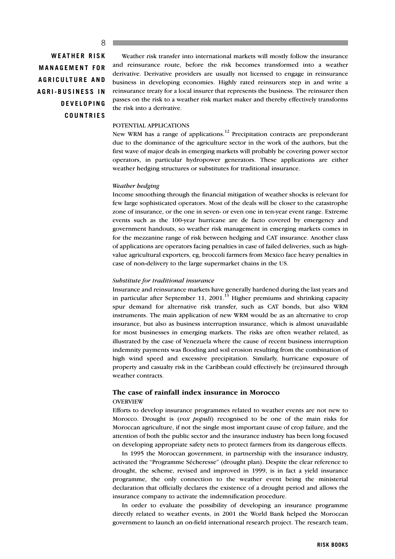#### 8

**WEATHER RISK MANAGEMENT FOR AGRICULTURE AND AGRI-BUSINESS IN DEVELOPING COUNTRIES**

Weather risk transfer into international markets will mostly follow the insurance and reinsurance route, before the risk becomes transformed into a weather derivative. Derivative providers are usually not licensed to engage in reinsurance business in developing economies. Highly rated reinsurers step in and write a reinsurance treaty for a local insurer that represents the business. The reinsurer then passes on the risk to a weather risk market maker and thereby effectively transforms the risk into a derivative.

#### POTENTIAL APPLICATIONS

New WRM has a range of applications.<sup>12</sup> Precipitation contracts are preponderant due to the dominance of the agriculture sector in the work of the authors, but the first wave of major deals in emerging markets will probably be covering power sector operators, in particular hydropower generators. These applications are either weather hedging structures or substitutes for traditional insurance.

#### *Weather hedging*

Income smoothing through the financial mitigation of weather shocks is relevant for few large sophisticated operators. Most of the deals will be closer to the catastrophe zone of insurance, or the one in seven- or even one in ten-year event range. Extreme events such as the 100-year hurricane are de facto covered by emergency and government handouts, so weather risk management in emerging markets comes in for the mezzanine range of risk between hedging and CAT insurance. Another class of applications are operators facing penalties in case of failed deliveries, such as highvalue agricultural exporters, eg, broccoli farmers from Mexico face heavy penalties in case of non-delivery to the large supermarket chains in the US.

#### *Substitute for traditional insurance*

Insurance and reinsurance markets have generally hardened during the last years and in particular after September 11,  $2001$ .<sup>13</sup> Higher premiums and shrinking capacity spur demand for alternative risk transfer, such as CAT bonds, but also WRM instruments. The main application of new WRM would be as an alternative to crop insurance, but also as business interruption insurance, which is almost unavailable for most businesses in emerging markets. The risks are often weather related, as illustrated by the case of Venezuela where the cause of recent business interruption indemnity payments was flooding and soil erosion resulting from the combination of high wind speed and excessive precipitation. Similarly, hurricane exposure of property and casualty risk in the Caribbean could effectively be (re)insured through weather contracts.

#### **The case of rainfall index insurance in Morocco**

#### **OVERVIEW**

Efforts to develop insurance programmes related to weather events are not new to Morocco. Drought is (*vox populi*) recognised to be one of the main risks for Moroccan agriculture, if not the single most important cause of crop failure, and the attention of both the public sector and the insurance industry has been long focused on developing appropriate safety nets to protect farmers from its dangerous effects.

In 1995 the Moroccan government, in partnership with the insurance industry, activated the "Programme Sécheresse" (drought plan). Despite the clear reference to drought, the scheme, revised and improved in 1999, is in fact a yield insurance programme, the only connection to the weather event being the ministerial declaration that officially declares the existence of a drought period and allows the insurance company to activate the indemnification procedure.

In order to evaluate the possibility of developing an insurance programme directly related to weather events, in 2001 the World Bank helped the Moroccan government to launch an on-field international research project. The research team,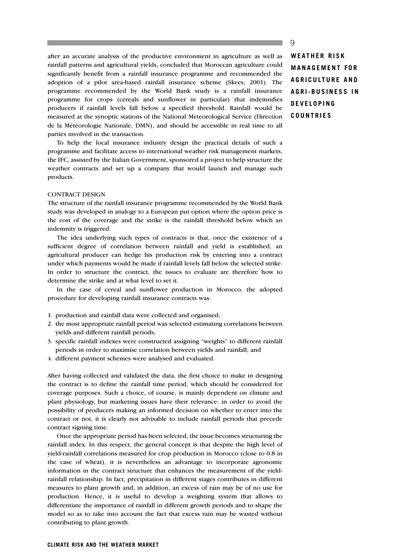after an accurate analysis of the productive environment in agriculture as well as rainfall patterns and agricultural yields, concluded that Moroccan agriculture could significantly benefit from a rainfall insurance programme and recommended the adoption of a pilot area-based rainfall insurance scheme (Skees, 2001). The programme recommended by the World Bank study is a rainfall insurance programme for crops (cereals and sunflower in particular) that indemnifies producers if rainfall levels fall below a specified threshold. Rainfall would be measured at the synoptic stations of the National Meteorological Service (Direction de la Météorologie Nationale, DMN), and should be accessible in real time to all parties involved in the transaction.

To help the local insurance industry design the practical details of such a programme and facilitate access to international weather risk management markets, the IFC, assisted by the Italian Government, sponsored a project to help structure the weather contracts and set up a company that would launch and manage such products.

#### CONTRACT DESIGN

The structure of the rainfall insurance programme recommended by the World Bank study was developed in analogy to a European put option where the option price is the cost of the coverage and the strike is the rainfall threshold below which an indemnity is triggered.

The idea underlying such types of contracts is that, once the existence of a sufficient degree of correlation between rainfall and yield is established, an agricultural producer can hedge his production risk by entering into a contract under which payments would be made if rainfall levels fall below the selected strike. In order to structure the contract, the issues to evaluate are therefore how to determine the strike and at what level to set it.

In the case of cereal and sunflower production in Morocco, the adopted procedure for developing rainfall insurance contracts was:

- 1. production and rainfall data were collected and organised;
- 2. the most appropriate rainfall period was selected estimating correlations between yields and different rainfall periods;
- 3. specific rainfall indexes were constructed assigning "weights" to different rainfall periods in order to maximise correlation between yields and rainfall; and
- 4. different payment schemes were analysed and evaluated.

After having collected and validated the data, the first choice to make in designing the contract is to define the rainfall time period, which should be considered for coverage purposes. Such a choice, of course, is mainly dependent on climate and plant physiology, but marketing issues have their relevance: in order to avoid the possibility of producers making an informed decision on whether to enter into the contract or not, it is clearly not advisable to include rainfall periods that precede contract signing time.

Once the appropriate period has been selected, the issue becomes structuring the rainfall index. In this respect, the general concept is that despite the high level of yield-rainfall correlations measured for crop production in Morocco (close to 0.8 in the case of wheat), it is nevertheless an advantage to incorporate agronomic information in the contract structure that enhances the measurement of the yieldrainfall relationship. In fact, precipitation in different stages contributes in different measures to plant growth and, in addition, an excess of rain may be of no use for production. Hence, it is useful to develop a weighting system that allows to differentiate the importance of rainfall in different growth periods and to shape the model so as to take into account the fact that excess rain may be wasted without contributing to plant growth.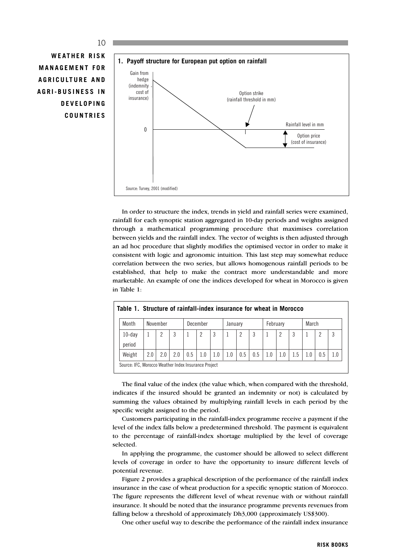# **WEATHER RISK MANAGEMENT FOR AGRICULTURE AND AGRI-BUSINESS IN DEVELOPING COUNTRIES**



In order to structure the index, trends in yield and rainfall series were examined, rainfall for each synoptic station aggregated in 10-day periods and weights assigned through a mathematical programming procedure that maximises correlation between yields and the rainfall index. The vector of weights is then adjusted through an ad hoc procedure that slightly modifies the optimised vector in order to make it consistent with logic and agronomic intuition. This last step may somewhat reduce correlation between the two series, but allows homogenous rainfall periods to be established, that help to make the contract more understandable and more marketable. An example of one the indices developed for wheat in Morocco is given in Table 1:

| Month               |     | November |     |     | December |     | January |                |     | February |     |     | March |     |     |
|---------------------|-----|----------|-----|-----|----------|-----|---------|----------------|-----|----------|-----|-----|-------|-----|-----|
| $10$ -day<br>period |     |          |     |     |          | 3   |         | $\overline{2}$ |     |          |     | 3   |       |     | 3   |
| Weight              | 2.0 | 2.0      | 2.0 | 0.5 | 1.0      | 1.0 | 1.0     | 0.5            | 0.5 | 1.0      | 1.0 | 1.5 | 1.0   | 0.5 | 1.0 |

The final value of the index (the value which, when compared with the threshold, indicates if the insured should be granted an indemnity or not) is calculated by summing the values obtained by multiplying rainfall levels in each period by the specific weight assigned to the period.

Customers participating in the rainfall-index programme receive a payment if the level of the index falls below a predetermined threshold. The payment is equivalent to the percentage of rainfall-index shortage multiplied by the level of coverage selected.

In applying the programme, the customer should be allowed to select different levels of coverage in order to have the opportunity to insure different levels of potential revenue.

Figure 2 provides a graphical description of the performance of the rainfall index insurance in the case of wheat production for a specific synoptic station of Morocco. The figure represents the different level of wheat revenue with or without rainfall insurance. It should be noted that the insurance programme prevents revenues from falling below a threshold of approximately Dh3,000 (approximately US\$300).

One other useful way to describe the performance of the rainfall index insurance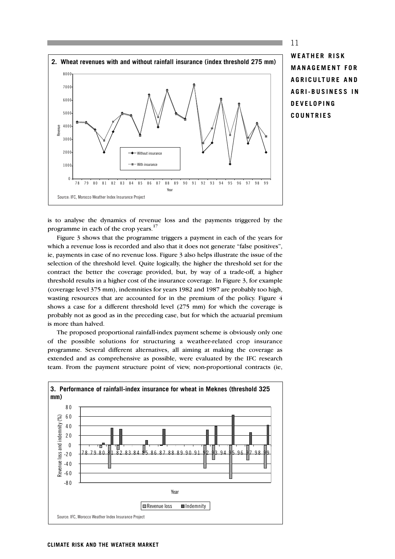

**WEATHER RISK MANAGEMENT FOR AGRICULTURE AND AGRI-BUSINESS IN DEVELOPING COUNTRIES**

11

is to analyse the dynamics of revenue loss and the payments triggered by the programme in each of the crop years.<sup>17</sup>

Figure 3 shows that the programme triggers a payment in each of the years for which a revenue loss is recorded and also that it does not generate "false positives", ie, payments in case of no revenue loss. Figure 3 also helps illustrate the issue of the selection of the threshold level. Quite logically, the higher the threshold set for the contract the better the coverage provided, but, by way of a trade-off, a higher threshold results in a higher cost of the insurance coverage. In Figure 3, for example (coverage level 375 mm), indemnities for years 1982 and 1987 are probably too high, wasting resources that are accounted for in the premium of the policy. Figure 4 shows a case for a different threshold level (275 mm) for which the coverage is probably not as good as in the preceding case, but for which the actuarial premium is more than halved.

The proposed proportional rainfall-index payment scheme is obviously only one of the possible solutions for structuring a weather-related crop insurance programme. Several different alternatives, all aiming at making the coverage as extended and as comprehensive as possible, were evaluated by the IFC research team. From the payment structure point of view, non-proportional contracts (ie,

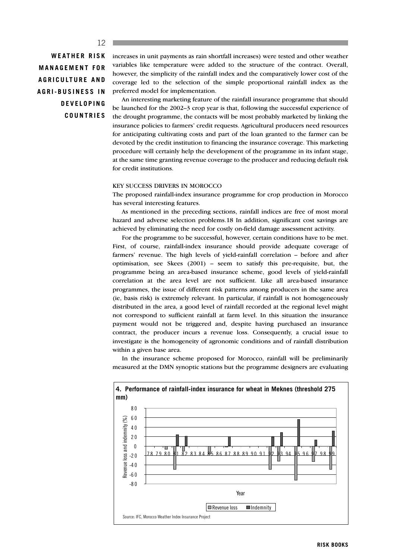#### 12

**WEATHER RISK MANAGEMENT FOR AGRICULTURE AND AGRI-BUSINESS IN DEVELOPING COUNTRIES** increases in unit payments as rain shortfall increases) were tested and other weather variables like temperature were added to the structure of the contract. Overall, however, the simplicity of the rainfall index and the comparatively lower cost of the coverage led to the selection of the simple proportional rainfall index as the preferred model for implementation.

An interesting marketing feature of the rainfall insurance programme that should be launched for the 2002–3 crop year is that, following the successful experience of the drought programme, the contacts will be most probably marketed by linking the insurance policies to farmers' credit requests. Agricultural producers need resources for anticipating cultivating costs and part of the loan granted to the farmer can be devoted by the credit institution to financing the insurance coverage. This marketing procedure will certainly help the development of the programme in its infant stage, at the same time granting revenue coverage to the producer and reducing default risk for credit institutions.

#### KEY SUCCESS DRIVERS IN MOROCCO

The proposed rainfall-index insurance programme for crop production in Morocco has several interesting features.

As mentioned in the preceding sections, rainfall indices are free of most moral hazard and adverse selection problems.18 In addition, significant cost savings are achieved by eliminating the need for costly on-field damage assessment activity.

For the programme to be successful, however, certain conditions have to be met. First, of course, rainfall-index insurance should provide adequate coverage of farmers' revenue. The high levels of yield-rainfall correlation – before and after optimisation, see Skees (2001) – seem to satisfy this pre-requisite, but, the programme being an area-based insurance scheme, good levels of yield-rainfall correlation at the area level are not sufficient. Like all area-based insurance programmes, the issue of different risk patterns among producers in the same area (ie, basis risk) is extremely relevant. In particular, if rainfall is not homogeneously distributed in the area, a good level of rainfall recorded at the regional level might not correspond to sufficient rainfall at farm level. In this situation the insurance payment would not be triggered and, despite having purchased an insurance contract, the producer incurs a revenue loss. Consequently, a crucial issue to investigate is the homogeneity of agronomic conditions and of rainfall distribution within a given base area.

In the insurance scheme proposed for Morocco, rainfall will be preliminarily measured at the DMN synoptic stations but the programme designers are evaluating



**RISK BOOKS**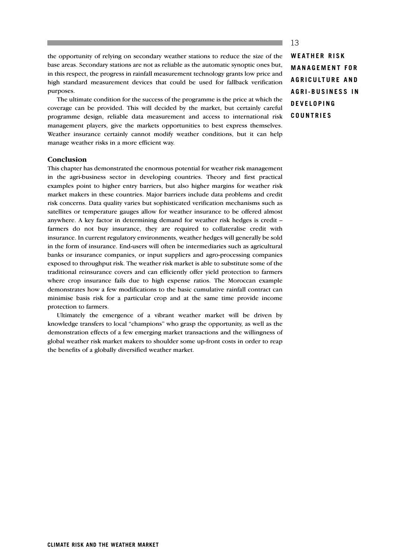the opportunity of relying on secondary weather stations to reduce the size of the base areas. Secondary stations are not as reliable as the automatic synoptic ones but, in this respect, the progress in rainfall measurement technology grants low price and high standard measurement devices that could be used for fallback verification purposes.

The ultimate condition for the success of the programme is the price at which the coverage can be provided. This will decided by the market, but certainly careful programme design, reliable data measurement and access to international risk management players, give the markets opportunities to best express themselves. Weather insurance certainly cannot modify weather conditions, but it can help manage weather risks in a more efficient way.

#### **Conclusion**

This chapter has demonstrated the enormous potential for weather risk management in the agri-business sector in developing countries. Theory and first practical examples point to higher entry barriers, but also higher margins for weather risk market makers in these countries. Major barriers include data problems and credit risk concerns. Data quality varies but sophisticated verification mechanisms such as satellites or temperature gauges allow for weather insurance to be offered almost anywhere. A key factor in determining demand for weather risk hedges is credit – farmers do not buy insurance, they are required to collateralise credit with insurance. In current regulatory environments, weather hedges will generally be sold in the form of insurance. End-users will often be intermediaries such as agricultural banks or insurance companies, or input suppliers and agro-processing companies exposed to throughput risk. The weather risk market is able to substitute some of the traditional reinsurance covers and can efficiently offer yield protection to farmers where crop insurance fails due to high expense ratios. The Moroccan example demonstrates how a few modifications to the basic cumulative rainfall contract can minimise basis risk for a particular crop and at the same time provide income protection to farmers.

Ultimately the emergence of a vibrant weather market will be driven by knowledge transfers to local "champions" who grasp the opportunity, as well as the demonstration effects of a few emerging market transactions and the willingness of global weather risk market makers to shoulder some up-front costs in order to reap the benefits of a globally diversified weather market.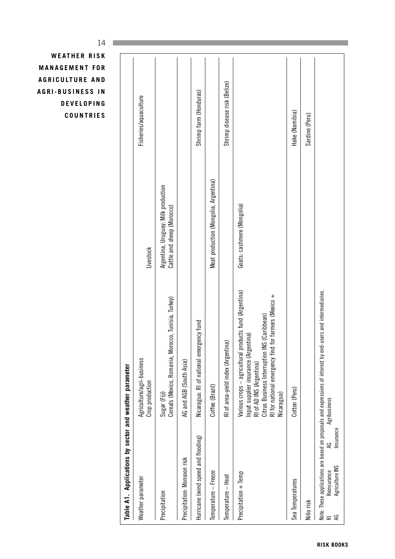| Hake (Namibia)<br>Sardine (Peru)<br>Meat production (Mongolia, Argentina)<br>Argentina, Uruguay: Milk production<br>Goats: cashmere (Mongolia)<br>Cattle and sheep (Morocco)<br>Livestock<br>Various crops - agricultural products fund (Argentina)<br>Note: These applications are based on proposals and expressions of interest by end-users and intermediaries.<br>RI for national emergency find for farmers (Mexico +<br>Cereals (Mexico, Romania, Morocco, Tunisia, Turkey)<br>Citrus Business Interruption INS (Caribbean)<br>Nicaragua: RI of national emergency fund<br>Input supplier insurance (Argentina)<br>RI of area-yield index (Argentina)<br>Agriculture/agri-business<br>AG and AGB (South Asia)<br>RI of AD INS (Argentina)<br>Table A1. Applications by sector and weather parameter<br>Crop production<br>Coffee (Brazil)<br>Cotton (Peru)<br>Sugar (Fiji)<br>Nicaragua)<br>Agribusiness<br>Insurance<br>Hurricane (wind speed and flooding)<br>S<br>Precipitation: Monsoon risk<br>Agriculture INS<br>Reinsurance<br>Temperature - Freeze<br>Precipitation + Temp<br>Temperature - Heat<br>Weather parameter<br>Sea Temperatures<br>Precipitation<br>Niño risk<br>ЯG<br>$\overline{\simeq}$ |  |                              |
|---------------------------------------------------------------------------------------------------------------------------------------------------------------------------------------------------------------------------------------------------------------------------------------------------------------------------------------------------------------------------------------------------------------------------------------------------------------------------------------------------------------------------------------------------------------------------------------------------------------------------------------------------------------------------------------------------------------------------------------------------------------------------------------------------------------------------------------------------------------------------------------------------------------------------------------------------------------------------------------------------------------------------------------------------------------------------------------------------------------------------------------------------------------------------------------------------------------------|--|------------------------------|
|                                                                                                                                                                                                                                                                                                                                                                                                                                                                                                                                                                                                                                                                                                                                                                                                                                                                                                                                                                                                                                                                                                                                                                                                                     |  |                              |
|                                                                                                                                                                                                                                                                                                                                                                                                                                                                                                                                                                                                                                                                                                                                                                                                                                                                                                                                                                                                                                                                                                                                                                                                                     |  | Fisheries/aquaculture        |
|                                                                                                                                                                                                                                                                                                                                                                                                                                                                                                                                                                                                                                                                                                                                                                                                                                                                                                                                                                                                                                                                                                                                                                                                                     |  |                              |
|                                                                                                                                                                                                                                                                                                                                                                                                                                                                                                                                                                                                                                                                                                                                                                                                                                                                                                                                                                                                                                                                                                                                                                                                                     |  |                              |
|                                                                                                                                                                                                                                                                                                                                                                                                                                                                                                                                                                                                                                                                                                                                                                                                                                                                                                                                                                                                                                                                                                                                                                                                                     |  | Shrimp farm (Honduras)       |
|                                                                                                                                                                                                                                                                                                                                                                                                                                                                                                                                                                                                                                                                                                                                                                                                                                                                                                                                                                                                                                                                                                                                                                                                                     |  |                              |
|                                                                                                                                                                                                                                                                                                                                                                                                                                                                                                                                                                                                                                                                                                                                                                                                                                                                                                                                                                                                                                                                                                                                                                                                                     |  | Shrimp disease risk (Belize) |
|                                                                                                                                                                                                                                                                                                                                                                                                                                                                                                                                                                                                                                                                                                                                                                                                                                                                                                                                                                                                                                                                                                                                                                                                                     |  |                              |
|                                                                                                                                                                                                                                                                                                                                                                                                                                                                                                                                                                                                                                                                                                                                                                                                                                                                                                                                                                                                                                                                                                                                                                                                                     |  |                              |
|                                                                                                                                                                                                                                                                                                                                                                                                                                                                                                                                                                                                                                                                                                                                                                                                                                                                                                                                                                                                                                                                                                                                                                                                                     |  |                              |
|                                                                                                                                                                                                                                                                                                                                                                                                                                                                                                                                                                                                                                                                                                                                                                                                                                                                                                                                                                                                                                                                                                                                                                                                                     |  |                              |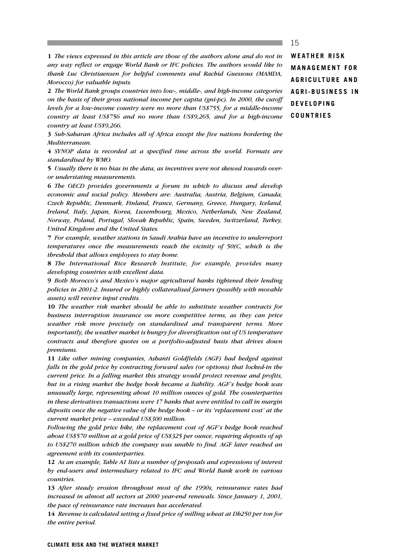**1** *The views expressed in this article are those of the authors alone and do not in any way reflect or engage World Bank or IFC policies. The authors would like to thank Luc Christiaensen for helpful comments and Rachid Guessous (MAMDA, Morocco) for valuable inputs.*

**2** *The World Bank groups countries into low-, middle-, and high-income categories on the basis of their gross national income per capita (gni-pc). In 2000, the cutoff levels for a low-income country were no more than US\$755, for a middle-income country at least US\$756 and no more than US\$9,265, and for a high-income country at least US\$9,266.*

**3** *Sub-Saharan Africa includes all of Africa except the five nations bordering the Mediterranean.*

**4** *SYNOP data is recorded at a specified time across the world. Formats are standardised by WMO.* 

**5** *Usually there is no bias in the data, as incentives were not skewed towards overor understating measurements.*

**6** *The OECD provides governments a forum in which to discuss and develop economic and social policy. Members are: Australia, Austria, Belgium, Canada, Czech Republic, Denmark, Finland, France, Germany, Greece, Hungary, Iceland, Ireland, Italy, Japan, Korea, Luxembourg, Mexico, Netherlands, New Zealand, Norway, Poland, Portugal, Slovak Republic, Spain, Sweden, Switzerland, Turkey, United Kingdom and the United States.* 

**7** *For example, weather stations in Saudi Arabia have an incentive to underreport temperatures once the measurements reach the vicinity of 50(C, which is the threshold that allows employees to stay home.* 

**8** *The International Rice Research Institute, for example, provides many developing countries with excellent data.*

**9** *Both Morocco's and Mexico's major agricultural banks tightened their lending policies in 2001-2. Insured or highly collateralised farmers (possibly with movable assets) will receive input credits.*

**10** *The weather risk market should be able to substitute weather contracts for business interruption insurance on more competitive terms, as they can price weather risk more precisely on standardised and transparent terms. More importantly, the weather market is hungry for diversification out of US temperature contracts and therefore quotes on a portfolio-adjusted basis that drives down premiums.*

**11** *Like other mining companies, Ashanti Goldfields (AGF) had hedged against falls in the gold price by contracting forward sales (or options) that locked-in the current price. In a falling market this strategy would protect revenue and profits, but in a rising market the hedge book became a liability. AGF's hedge book was unusually large, representing about 10 million ounces of gold. The counterparties in these derivatives transactions were 17 banks that were entitled to call in margin deposits once the negative value of the hedge book – or its 'replacement cost' at the current market price – exceeded US\$300 million.* 

*Following the gold price hike, the replacement cost of AGF's hedge book reached about US\$570 million at a gold price of US\$325 per ounce, requiring deposits of up to US\$270 million which the company was unable to find. AGF later reached an agreement with its counterparties.*

**12** *As an example, Table A1 lists a number of proposals and expressions of interest by end-users and intermediary related to IFC and World Bank work in various countries.*

**13** *After steady erosion throughout most of the 1990s, reinsurance rates had increased in almost all sectors at 2000 year-end renewals. Since January 1, 2001, the pace of reinsurance rate increases has accelerated.*

**14** *Revenue is calculated setting a fixed price of milling wheat at Dh250 per ton for the entire period.*

**WEATHER RISK MANAGEMENT FOR AGRICULTURE AND AGRI-BUSINESS IN DEVELOPING COUNTRIES**

#### **CLIMATE RISK AND THE WEATHER MARKET**